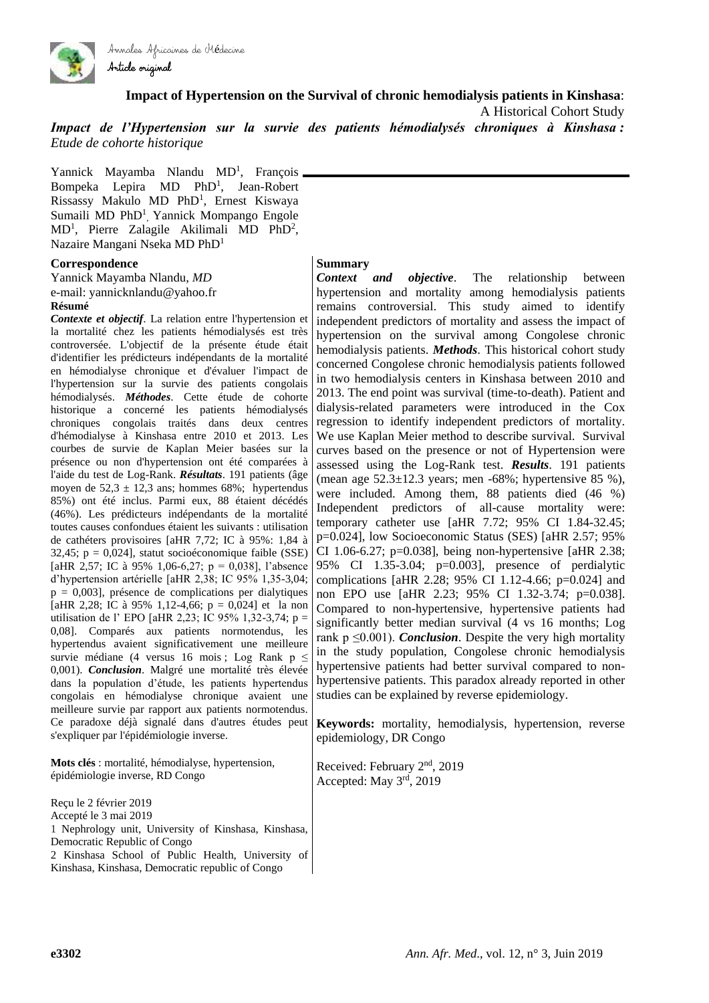

Article original

**Impact of Hypertension on the Survival of chronic hemodialysis patients in Kinshasa**:

A Historical Cohort Study

*Impact de l'Hypertension sur la survie des patients hémodialysés chroniques à Kinshasa : Etude de cohorte historique*

Yannick Mayamba Nlandu MD<sup>1</sup>, François Bompeka Lepira MD PhD<sup>1</sup>, Jean-Robert Rissassy Makulo MD PhD<sup>1</sup>, Ernest Kiswaya Sumaili MD PhD<sup>1</sup>, Yannick Mompango Engole  $MD<sup>1</sup>$ , Pierre Zalagile Akilimali MD PhD<sup>2</sup>, Nazaire Mangani Nseka MD PhD<sup>1</sup>

Annales Africaines de Médecine

#### **Correspondence**

Yannick Mayamba Nlandu, *MD* e-mail: yannicknlandu@yahoo.fr **Résumé** 

*Contexte et objectif*. La relation entre l'hypertension et la mortalité chez les patients hémodialysés est très controversée. L'objectif de la présente étude était d'identifier les prédicteurs indépendants de la mortalité en hémodialyse chronique et d'évaluer l'impact de l'hypertension sur la survie des patients congolais hémodialysés. *Méthodes*. Cette étude de cohorte historique a concerné les patients hémodialysés chroniques congolais traités dans deux centres d'hémodialyse à Kinshasa entre 2010 et 2013. Les courbes de survie de Kaplan Meier basées sur la présence ou non d'hypertension ont été comparées à l'aide du test de Log-Rank. *Résultats*. 191 patients (âge moyen de  $52.3 \pm 12.3$  ans; hommes 68%; hypertendus 85%) ont été inclus. Parmi eux, 88 étaient décédés (46%). Les prédicteurs indépendants de la mortalité toutes causes confondues étaient les suivants : utilisation de cathéters provisoires [aHR 7,72; IC à 95%: 1,84 à 32,45; p = 0,024], statut socioéconomique faible (SSE) [aHR 2,57; IC à 95% 1,06-6,27; p = 0,038], l'absence d'hypertension artérielle [aHR 2,38; IC 95% 1,35-3,04;  $p = 0,003$ ], présence de complications per dialytiques [aHR 2,28; IC à 95% 1,12-4,66;  $p = 0.024$ ] et la non utilisation de l' EPO [aHR 2,23; IC 95% 1,32-3,74; p = 0,08]. Comparés aux patients normotendus, les hypertendus avaient significativement une meilleure survie médiane (4 versus 16 mois ; Log Rank  $p \leq$ 0,001). *Conclusion*. Malgré une mortalité très élevée dans la population d'étude, les patients hypertendus congolais en hémodialyse chronique avaient une meilleure survie par rapport aux patients normotendus. Ce paradoxe déjà signalé dans d'autres études peut s'expliquer par l'épidémiologie inverse.

**Mots clés** : mortalité, hémodialyse, hypertension, épidémiologie inverse, RD Congo

Reçu le 2 février 2019 Accepté le 3 mai 2019 1 Nephrology unit, University of Kinshasa, Kinshasa, Democratic Republic of Congo 2 Kinshasa School of Public Health, University of Kinshasa, Kinshasa, Democratic republic of Congo

#### **Summary**

*Context and objective*. The relationship between hypertension and mortality among hemodialysis patients remains controversial. This study aimed to identify independent predictors of mortality and assess the impact of hypertension on the survival among Congolese chronic hemodialysis patients. *Methods*. This historical cohort study concerned Congolese chronic hemodialysis patients followed in two hemodialysis centers in Kinshasa between 2010 and 2013. The end point was survival (time-to-death). Patient and dialysis-related parameters were introduced in the Cox regression to identify independent predictors of mortality. We use Kaplan Meier method to describe survival. Survival curves based on the presence or not of Hypertension were assessed using the Log-Rank test. *Results*. 191 patients (mean age  $52.3 \pm 12.3$  years; men -68%; hypertensive 85 %), were included. Among them, 88 patients died (46 %) Independent predictors of all-cause mortality were: temporary catheter use [aHR 7.72; 95% CI 1.84-32.45; p=0.024], low Socioeconomic Status (SES) [aHR 2.57; 95% CI 1.06-6.27; p=0.038], being non-hypertensive [aHR 2.38; 95% CI 1.35-3.04; p=0.003], presence of perdialytic complications [aHR 2.28; 95% CI 1.12-4.66; p=0.024] and non EPO use [aHR 2.23; 95% CI 1.32-3.74; p=0.038]. Compared to non-hypertensive, hypertensive patients had significantly better median survival (4 vs 16 months; Log rank  $p \leq 0.001$ ). *Conclusion*. Despite the very high mortality in the study population, Congolese chronic hemodialysis hypertensive patients had better survival compared to nonhypertensive patients. This paradox already reported in other studies can be explained by reverse epidemiology.

**Keywords:** mortality, hemodialysis, hypertension, reverse epidemiology, DR Congo

Received: February 2nd, 2019 Accepted: May 3rd, 2019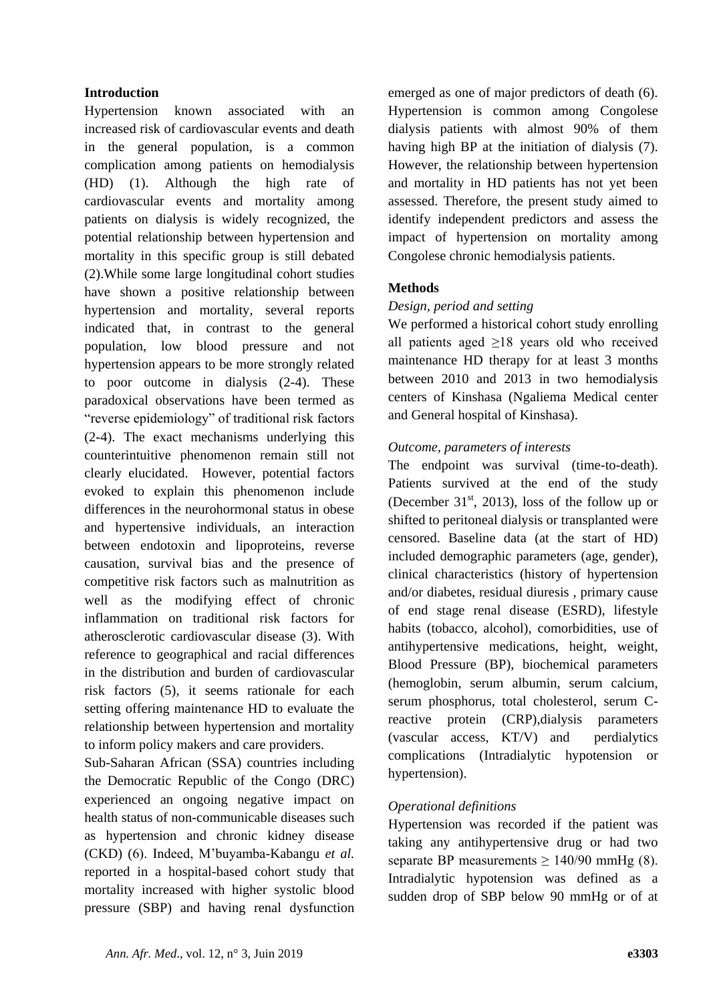### **Introduction**

Hypertension known associated with an increased risk of cardiovascular events and death in the general population, is a common complication among patients on hemodialysis (HD) (1). Although the high rate of cardiovascular events and mortality among patients on dialysis is widely recognized, the potential relationship between hypertension and mortality in this specific group is still debated (2).While some large longitudinal cohort studies have shown a positive relationship between hypertension and mortality, several reports indicated that, in contrast to the general population, low blood pressure and not hypertension appears to be more strongly related to poor outcome in dialysis (2-4). These paradoxical observations have been termed as "reverse epidemiology" of traditional risk factors (2-4). The exact mechanisms underlying this counterintuitive phenomenon remain still not clearly elucidated. However, potential factors evoked to explain this phenomenon include differences in the neurohormonal status in obese and hypertensive individuals, an interaction between endotoxin and lipoproteins, reverse causation, survival bias and the presence of competitive risk factors such as malnutrition as well as the modifying effect of chronic inflammation on traditional risk factors for atherosclerotic cardiovascular disease (3). With reference to geographical and racial differences in the distribution and burden of cardiovascular risk factors (5), it seems rationale for each setting offering maintenance HD to evaluate the relationship between hypertension and mortality to inform policy makers and care providers.

Sub-Saharan African (SSA) countries including the Democratic Republic of the Congo (DRC) experienced an ongoing negative impact on health status of non-communicable diseases such as hypertension and chronic kidney disease (CKD) (6). Indeed, M'buyamba-Kabangu *et al.* reported in a hospital-based cohort study that mortality increased with higher systolic blood pressure (SBP) and having renal dysfunction emerged as one of major predictors of death (6). Hypertension is common among Congolese dialysis patients with almost 90% of them having high BP at the initiation of dialysis (7). However, the relationship between hypertension and mortality in HD patients has not yet been assessed. Therefore, the present study aimed to identify independent predictors and assess the impact of hypertension on mortality among Congolese chronic hemodialysis patients.

### **Methods**

### *Design, period and setting*

We performed a historical cohort study enrolling all patients aged  $\geq$ 18 years old who received maintenance HD therapy for at least 3 months between 2010 and 2013 in two hemodialysis centers of Kinshasa (Ngaliema Medical center and General hospital of Kinshasa).

### *Outcome, parameters of interests*

The endpoint was survival (time-to-death). Patients survived at the end of the study (December  $31<sup>st</sup>$ , 2013), loss of the follow up or shifted to peritoneal dialysis or transplanted were censored. Baseline data (at the start of HD) included demographic parameters (age, gender), clinical characteristics (history of hypertension and/or diabetes, residual diuresis , primary cause of end stage renal disease (ESRD), lifestyle habits (tobacco, alcohol), comorbidities, use of antihypertensive medications, height, weight, Blood Pressure (BP), biochemical parameters (hemoglobin, serum albumin, serum calcium, serum phosphorus, total cholesterol, serum Creactive protein (CRP),dialysis parameters (vascular access, KT/V) and perdialytics complications (Intradialytic hypotension or hypertension).

### *Operational definitions*

Hypertension was recorded if the patient was taking any antihypertensive drug or had two separate BP measurements  $\geq 140/90$  mmHg (8). Intradialytic hypotension was defined as a sudden drop of SBP below 90 mmHg or of at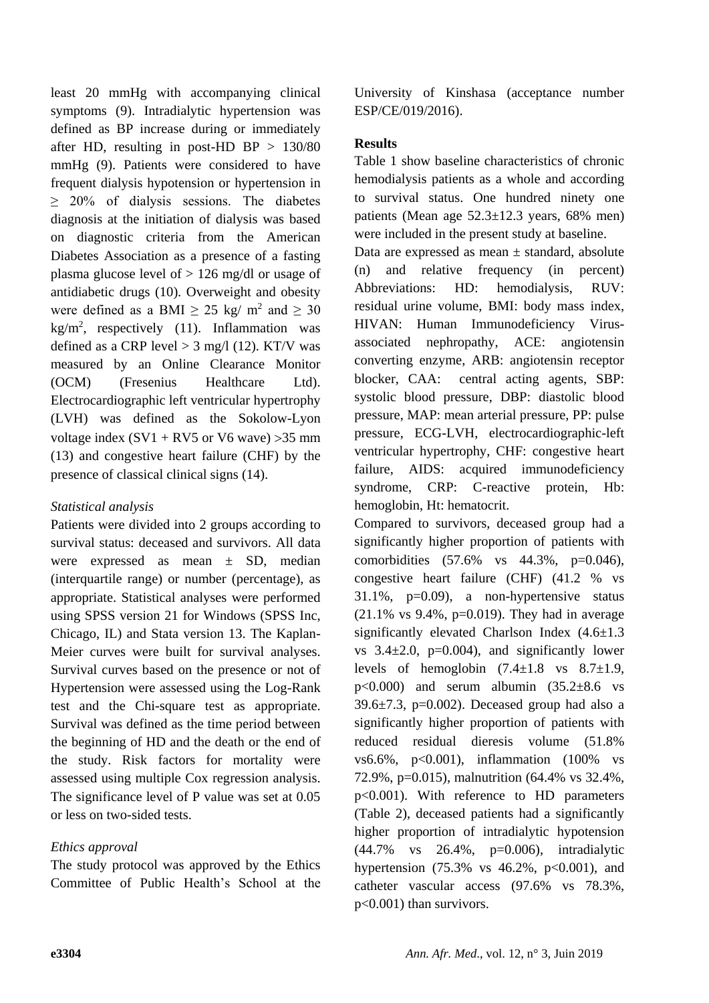least 20 mmHg with accompanying clinical symptoms (9). Intradialytic hypertension was defined as BP increase during or immediately after HD, resulting in post-HD BP  $> 130/80$ mmHg (9). Patients were considered to have frequent dialysis hypotension or hypertension in  $\geq$  20% of dialysis sessions. The diabetes diagnosis at the initiation of dialysis was based on diagnostic criteria from the American Diabetes Association as a presence of a fasting plasma glucose level of  $> 126$  mg/dl or usage of antidiabetic drugs (10). Overweight and obesity were defined as a BMI  $\geq 25$  kg/ m<sup>2</sup> and  $\geq 30$  $kg/m<sup>2</sup>$ , respectively (11). Inflammation was defined as a CRP level  $> 3$  mg/l (12). KT/V was measured by an Online Clearance Monitor (OCM) (Fresenius Healthcare Ltd). Electrocardiographic left ventricular hypertrophy (LVH) was defined as the Sokolow-Lyon voltage index  $(SV1 + RV5)$  or V6 wave)  $>35$  mm (13) and congestive heart failure (CHF) by the presence of classical clinical signs (14).

# *Statistical analysis*

Patients were divided into 2 groups according to survival status: deceased and survivors. All data were expressed as mean ± SD, median (interquartile range) or number (percentage), as appropriate. Statistical analyses were performed using SPSS version 21 for Windows (SPSS Inc, Chicago, IL) and Stata version 13. The Kaplan-Meier curves were built for survival analyses. Survival curves based on the presence or not of Hypertension were assessed using the Log-Rank test and the Chi-square test as appropriate. Survival was defined as the time period between the beginning of HD and the death or the end of the study. Risk factors for mortality were assessed using multiple Cox regression analysis. The significance level of P value was set at 0.05 or less on two-sided tests.

# *Ethics approval*

The study protocol was approved by the Ethics Committee of Public Health's School at the University of Kinshasa (acceptance number ESP/CE/019/2016).

# **Results**

Table 1 show baseline characteristics of chronic hemodialysis patients as a whole and according to survival status. One hundred ninety one patients (Mean age  $52.3 \pm 12.3$  years, 68% men) were included in the present study at baseline.

Data are expressed as mean  $\pm$  standard, absolute (n) and relative frequency (in percent) Abbreviations: HD: hemodialysis, RUV: residual urine volume, BMI: body mass index, HIVAN: Human Immunodeficiency Virusassociated nephropathy, ACE: angiotensin converting enzyme, ARB: angiotensin receptor blocker, CAA: central acting agents, SBP: systolic blood pressure, DBP: diastolic blood pressure, MAP: mean arterial pressure, PP: pulse pressure, ECG-LVH, electrocardiographic-left ventricular hypertrophy, CHF: congestive heart failure, AIDS: acquired immunodeficiency syndrome, CRP: C-reactive protein, Hb: hemoglobin, Ht: hematocrit.

Compared to survivors, deceased group had a significantly higher proportion of patients with comorbidities (57.6% vs 44.3%, p=0.046), congestive heart failure (CHF) (41.2 % vs  $31.1\%$ ,  $p=0.09$ ), a non-hypertensive status  $(21.1\% \text{ vs } 9.4\%, \text{ p=0.019}).$  They had in average significantly elevated Charlson Index (4.6±1.3 vs  $3.4\pm2.0$ ,  $p=0.004$ ), and significantly lower levels of hemoglobin  $(7.4 \pm 1.8 \text{ vs } 8.7 \pm 1.9)$ ,  $p<0.000$  and serum albumin  $(35.2\pm8.6 \text{ vs }$  $39.6\pm7.3$ , p=0.002). Deceased group had also a significantly higher proportion of patients with reduced residual dieresis volume (51.8% vs6.6%, p<0.001), inflammation (100% vs 72.9%, p=0.015), malnutrition (64.4% vs 32.4%, p<0.001). With reference to HD parameters (Table 2), deceased patients had a significantly higher proportion of intradialytic hypotension (44.7% vs 26.4%, p=0.006), intradialytic hypertension  $(75.3\% \text{ vs } 46.2\% \text{, } p<0.001)$ , and catheter vascular access (97.6% vs 78.3%, p<0.001) than survivors.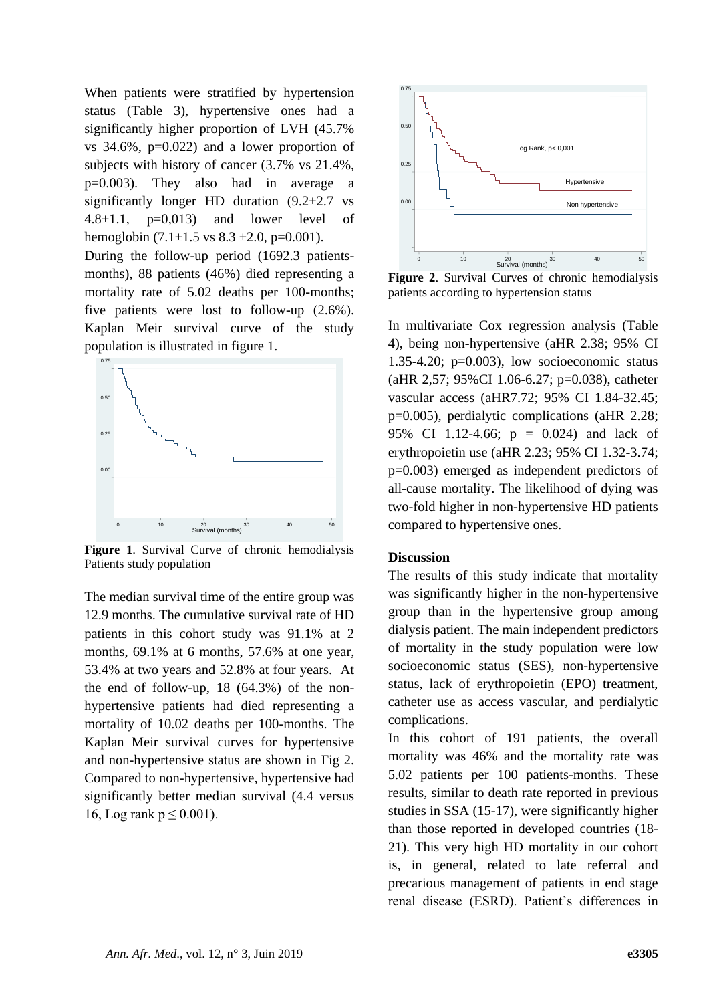When patients were stratified by hypertension status (Table 3), hypertensive ones had a significantly higher proportion of LVH (45.7% vs 34.6%, p=0.022) and a lower proportion of subjects with history of cancer (3.7% vs 21.4%, p=0.003). They also had in average a significantly longer HD duration  $(9.2 \pm 2.7 \text{ vs }$ 4.8 $\pm$ 1.1, p=0,013) and lower level of hemoglobin  $(7.1 \pm 1.5 \text{ vs } 8.3 \pm 2.0, \text{ p=0.001}).$ 

During the follow-up period (1692.3 patientsmonths), 88 patients (46%) died representing a mortality rate of 5.02 deaths per 100-months; five patients were lost to follow-up (2.6%). Kaplan Meir survival curve of the study population is illustrated in figure 1.



**Figure 1**. Survival Curve of chronic hemodialysis Patients study population

The median survival time of the entire group was 12.9 months. The cumulative survival rate of HD patients in this cohort study was 91.1% at 2 months, 69.1% at 6 months, 57.6% at one year, 53.4% at two years and 52.8% at four years. At the end of follow-up, 18 (64.3%) of the nonhypertensive patients had died representing a mortality of 10.02 deaths per 100-months. The Kaplan Meir survival curves for hypertensive and non-hypertensive status are shown in Fig 2. Compared to non-hypertensive, hypertensive had significantly better median survival (4.4 versus 16, Log rank  $p \le 0.001$ ).



**Figure 2**. Survival Curves of chronic hemodialysis patients according to hypertension status

In multivariate Cox regression analysis (Table 4), being non-hypertensive (aHR 2.38; 95% CI 1.35-4.20;  $p=0.003$ ), low socioeconomic status (aHR 2,57; 95%CI 1.06-6.27; p=0.038), catheter vascular access (aHR7.72; 95% CI 1.84-32.45; p=0.005), perdialytic complications (aHR 2.28; 95% CI 1.12-4.66; p = 0.024) and lack of erythropoietin use (aHR 2.23; 95% CI 1.32-3.74; p=0.003) emerged as independent predictors of all-cause mortality. The likelihood of dying was two-fold higher in non-hypertensive HD patients compared to hypertensive ones.

### **Discussion**

The results of this study indicate that mortality was significantly higher in the non-hypertensive group than in the hypertensive group among dialysis patient. The main independent predictors of mortality in the study population were low socioeconomic status (SES), non-hypertensive status, lack of erythropoietin (EPO) treatment, catheter use as access vascular, and perdialytic complications.

In this cohort of 191 patients, the overall mortality was 46% and the mortality rate was 5.02 patients per 100 patients-months. These results, similar to death rate reported in previous studies in SSA (15-17), were significantly higher than those reported in developed countries (18- 21). This very high HD mortality in our cohort is, in general, related to late referral and precarious management of patients in end stage renal disease (ESRD). Patient's differences in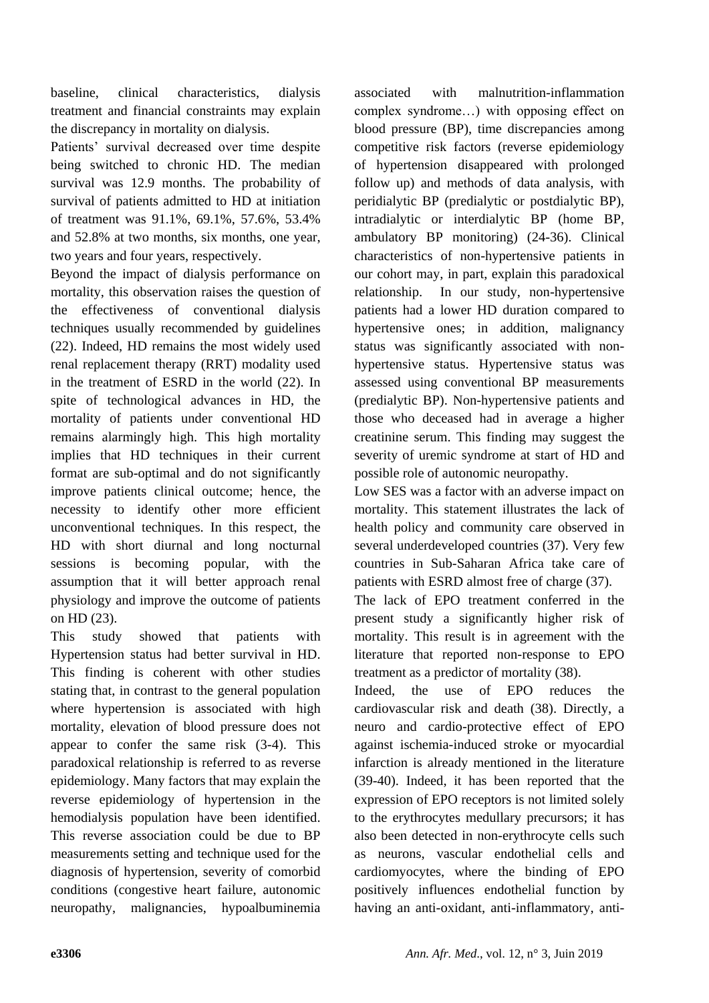baseline, clinical characteristics, dialysis treatment and financial constraints may explain the discrepancy in mortality on dialysis.

Patients' survival decreased over time despite being switched to chronic HD. The median survival was 12.9 months. The probability of survival of patients admitted to HD at initiation of treatment was 91.1%, 69.1%, 57.6%, 53.4% and 52.8% at two months, six months, one year, two years and four years, respectively.

Beyond the impact of dialysis performance on mortality, this observation raises the question of the effectiveness of conventional dialysis techniques usually recommended by guidelines (22). Indeed, HD remains the most widely used renal replacement therapy (RRT) modality used in the treatment of ESRD in the world (22). In spite of technological advances in HD, the mortality of patients under conventional HD remains alarmingly high. This high mortality implies that HD techniques in their current format are sub-optimal and do not significantly improve patients clinical outcome; hence, the necessity to identify other more efficient unconventional techniques. In this respect, the HD with short diurnal and long nocturnal sessions is becoming popular, with the assumption that it will better approach renal physiology and improve the outcome of patients on HD (23).

This study showed that patients with Hypertension status had better survival in HD. This finding is coherent with other studies stating that, in contrast to the general population where hypertension is associated with high mortality, elevation of blood pressure does not appear to confer the same risk (3-4). This paradoxical relationship is referred to as reverse epidemiology. Many factors that may explain the reverse epidemiology of hypertension in the hemodialysis population have been identified. This reverse association could be due to BP measurements setting and technique used for the diagnosis of hypertension, severity of comorbid conditions (congestive heart failure, autonomic neuropathy, malignancies, hypoalbuminemia associated with malnutrition-inflammation complex syndrome…) with opposing effect on blood pressure (BP), time discrepancies among competitive risk factors (reverse epidemiology of hypertension disappeared with prolonged follow up) and methods of data analysis, with peridialytic BP (predialytic or postdialytic BP), intradialytic or interdialytic BP (home BP, ambulatory BP monitoring) (24-36). Clinical characteristics of non-hypertensive patients in our cohort may, in part, explain this paradoxical relationship. In our study, non-hypertensive patients had a lower HD duration compared to hypertensive ones; in addition, malignancy status was significantly associated with nonhypertensive status. Hypertensive status was assessed using conventional BP measurements (predialytic BP). Non-hypertensive patients and those who deceased had in average a higher creatinine serum. This finding may suggest the severity of uremic syndrome at start of HD and possible role of autonomic neuropathy.

Low SES was a factor with an adverse impact on mortality. This statement illustrates the lack of health policy and community care observed in several underdeveloped countries (37). Very few countries in Sub-Saharan Africa take care of patients with ESRD almost free of charge (37).

The lack of EPO treatment conferred in the present study a significantly higher risk of mortality. This result is in agreement with the literature that reported non-response to EPO treatment as a predictor of mortality (38).

Indeed, the use of EPO reduces the cardiovascular risk and death (38). Directly, a neuro and cardio-protective effect of EPO against ischemia-induced stroke or myocardial infarction is already mentioned in the literature (39-40). Indeed, it has been reported that the expression of EPO receptors is not limited solely to the erythrocytes medullary precursors; it has also been detected in non-erythrocyte cells such as neurons, vascular endothelial cells and cardiomyocytes, where the binding of EPO positively influences endothelial function by having an anti-oxidant, anti-inflammatory, anti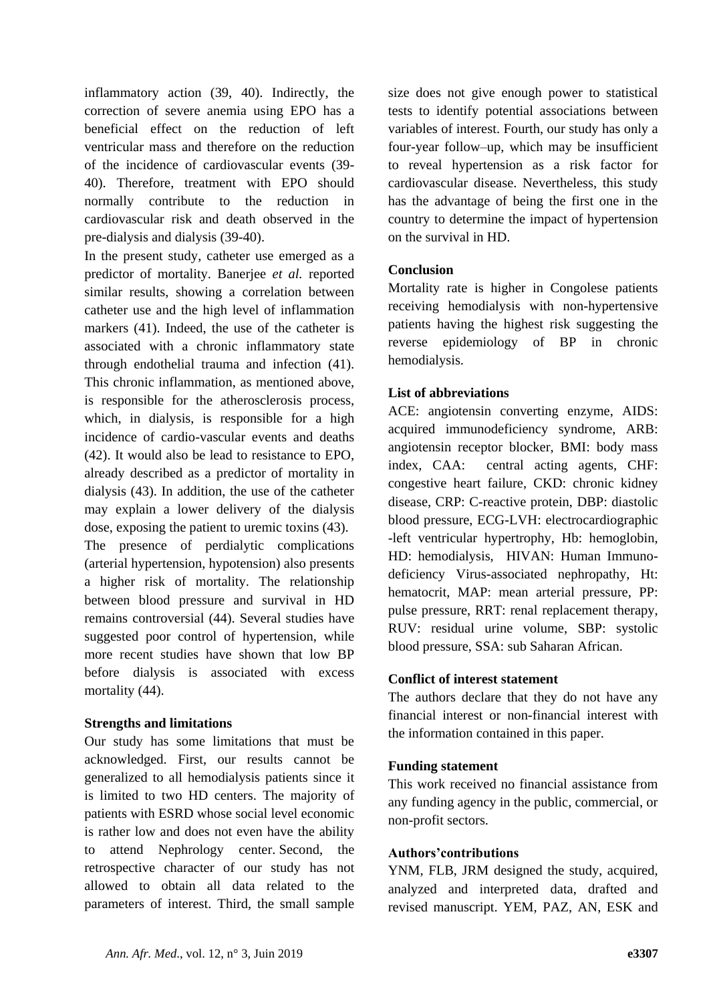inflammatory action (39, 40). Indirectly, the correction of severe anemia using EPO has a beneficial effect on the reduction of left ventricular mass and therefore on the reduction of the incidence of cardiovascular events (39- 40). Therefore, treatment with EPO should normally contribute to the reduction in cardiovascular risk and death observed in the pre-dialysis and dialysis (39-40).

In the present study, catheter use emerged as a predictor of mortality. Banerjee *et al.* reported similar results, showing a correlation between catheter use and the high level of inflammation markers (41). Indeed, the use of the catheter is associated with a chronic inflammatory state through endothelial trauma and infection (41). This chronic inflammation, as mentioned above, is responsible for the atherosclerosis process, which, in dialysis, is responsible for a high incidence of cardio-vascular events and deaths (42). It would also be lead to resistance to EPO, already described as a predictor of mortality in dialysis (43). In addition, the use of the catheter may explain a lower delivery of the dialysis dose, exposing the patient to uremic toxins (43). The presence of perdialytic complications (arterial hypertension, hypotension) also presents a higher risk of mortality. The relationship between blood pressure and survival in HD remains controversial (44). Several studies have suggested poor control of hypertension, while more recent studies have shown that low BP before dialysis is associated with excess mortality  $(44)$ .

### **Strengths and limitations**

Our study has some limitations that must be acknowledged. First, our results cannot be generalized to all hemodialysis patients since it is limited to two HD centers. The majority of patients with ESRD whose social level economic is rather low and does not even have the ability to attend Nephrology center. Second, the retrospective character of our study has not allowed to obtain all data related to the parameters of interest. Third, the small sample

size does not give enough power to statistical tests to identify potential associations between variables of interest. Fourth, our study has only a four-year follow–up, which may be insufficient to reveal hypertension as a risk factor for cardiovascular disease. Nevertheless, this study has the advantage of being the first one in the country to determine the impact of hypertension on the survival in HD.

## **Conclusion**

Mortality rate is higher in Congolese patients receiving hemodialysis with non-hypertensive patients having the highest risk suggesting the reverse epidemiology of BP in chronic hemodialysis.

## **List of abbreviations**

ACE: angiotensin converting enzyme, AIDS: acquired immunodeficiency syndrome, ARB: angiotensin receptor blocker, BMI: body mass index, CAA: central acting agents, CHF: congestive heart failure, CKD: chronic kidney disease, CRP: C-reactive protein, DBP: diastolic blood pressure, ECG-LVH: electrocardiographic -left ventricular hypertrophy, Hb: hemoglobin, HD: hemodialysis, HIVAN: Human Immunodeficiency Virus-associated nephropathy, Ht: hematocrit, MAP: mean arterial pressure, PP: pulse pressure, RRT: renal replacement therapy, RUV: residual urine volume, SBP: systolic blood pressure, SSA: sub Saharan African.

### **Conflict of interest statement**

The authors declare that they do not have any financial interest or non-financial interest with the information contained in this paper.

### **Funding statement**

This work received no financial assistance from any funding agency in the public, commercial, or non-profit sectors.

### **Authors'contributions**

YNM, FLB, JRM designed the study, acquired, analyzed and interpreted data, drafted and revised manuscript. YEM, PAZ, AN, ESK and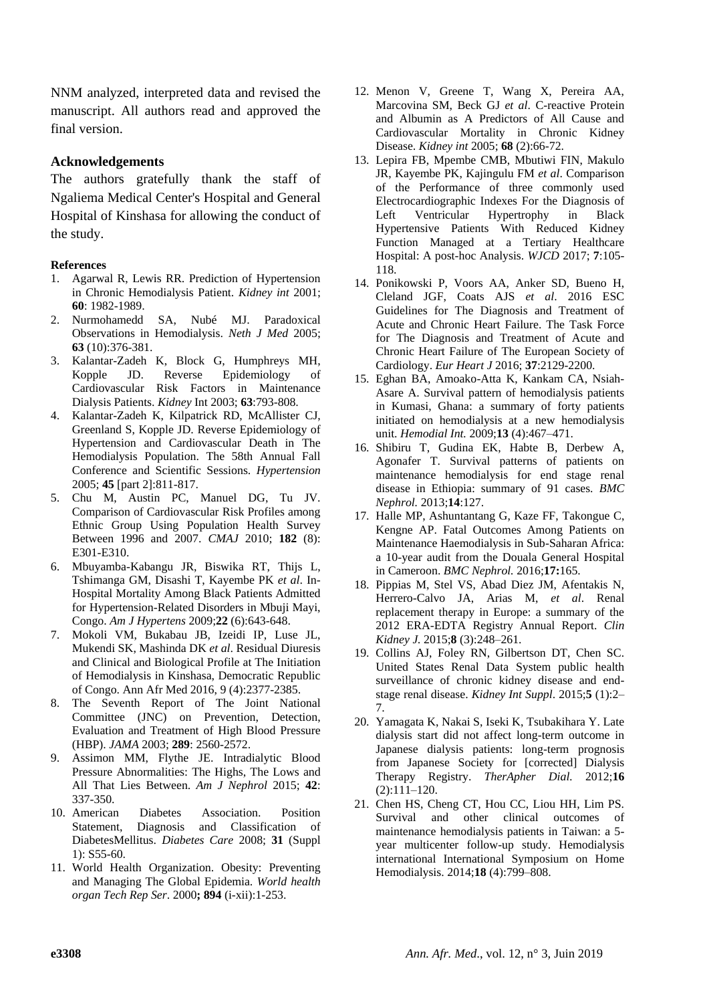NNM analyzed, interpreted data and revised the manuscript. All authors read and approved the final version.

### **Acknowledgements**

The authors gratefully thank the staff of Ngaliema Medical Center's Hospital and General Hospital of Kinshasa for allowing the conduct of the study.

### **References**

- 1. Agarwal R, Lewis RR. Prediction of Hypertension in Chronic Hemodialysis Patient. *Kidney int* 2001; **60**: 1982-1989.
- 2. Nurmohamedd SA, Nubé MJ. Paradoxical Observations in Hemodialysis. *Neth J Med* 2005; **63** (10):376-381.
- 3. Kalantar-Zadeh K, Block G, Humphreys MH, Kopple JD. Reverse Epidemiology of Cardiovascular Risk Factors in Maintenance Dialysis Patients. *Kidney* Int 2003; **63**:793-808.
- 4. Kalantar-Zadeh K, Kilpatrick RD, McAllister CJ, Greenland S, Kopple JD. Reverse Epidemiology of Hypertension and Cardiovascular Death in The Hemodialysis Population. The 58th Annual Fall Conference and Scientific Sessions. *Hypertension* 2005; **45** [part 2]:811-817.
- 5. Chu M, Austin PC, Manuel DG, Tu JV. Comparison of Cardiovascular Risk Profiles among Ethnic Group Using Population Health Survey Between 1996 and 2007. *CMAJ* 2010; **182** (8): E301-E310.
- 6. Mbuyamba-Kabangu JR, Biswika RT, Thijs L, Tshimanga GM, Disashi T, Kayembe PK *et al*. In-Hospital Mortality Among Black Patients Admitted for Hypertension-Related Disorders in Mbuji Mayi, Congo. *Am J Hypertens* 2009;**22** (6):643-648.
- 7. Mokoli VM, Bukabau JB, Izeidi IP, Luse JL, Mukendi SK, Mashinda DK *et al*. Residual Diuresis and Clinical and Biological Profile at The Initiation of Hemodialysis in Kinshasa, Democratic Republic of Congo. Ann Afr Med 2016, 9 (4):2377-2385.
- 8. The Seventh Report of The Joint National Committee (JNC) on Prevention, Detection, Evaluation and Treatment of High Blood Pressure (HBP). *JAMA* 2003; **289**: 2560-2572.
- 9. Assimon MM, Flythe JE. Intradialytic Blood Pressure Abnormalities: The Highs, The Lows and All That Lies Between. *Am J Nephrol* 2015; **42**: 337-350.
- 10. American Diabetes Association. Position Statement, Diagnosis and Classification of DiabetesMellitus. *Diabetes Care* 2008; **31** (Suppl 1): S55-60.
- 11. World Health Organization. Obesity: Preventing and Managing The Global Epidemia. *World health organ Tech Rep Ser*. 2000**; 894** (i-xii):1-253.
- 12. Menon V, Greene T, Wang X, Pereira AA, Marcovina SM, Beck GJ *et al*. C-reactive Protein and Albumin as A Predictors of All Cause and Cardiovascular Mortality in Chronic Kidney Disease. *Kidney int* 2005; **68** (2):66-72.
- 13. Lepira FB, Mpembe CMB, Mbutiwi FIN, Makulo JR, Kayembe PK, Kajingulu FM *et al*. Comparison of the Performance of three commonly used Electrocardiographic Indexes For the Diagnosis of Left Ventricular Hypertrophy in Black Hypertensive Patients With Reduced Kidney Function Managed at a Tertiary Healthcare Hospital: A post-hoc Analysis. *WJCD* 2017; **7**:105- 118.
- 14. Ponikowski P, Voors AA, Anker SD, Bueno H, Cleland JGF, Coats AJS *et al*. 2016 ESC Guidelines for The Diagnosis and Treatment of Acute and Chronic Heart Failure. The Task Force for The Diagnosis and Treatment of Acute and Chronic Heart Failure of The European Society of Cardiology. *Eur Heart J* 2016; **37**:2129-2200.
- 15. Eghan BA, Amoako-Atta K, Kankam CA, Nsiah-Asare A. Survival pattern of hemodialysis patients in Kumasi, Ghana: a summary of forty patients initiated on hemodialysis at a new hemodialysis unit. *Hemodial Int.* 2009;**13** (4):467–471.
- 16. Shibiru T, Gudina EK, Habte B, Derbew A, Agonafer T. Survival patterns of patients on maintenance hemodialysis for end stage renal disease in Ethiopia: summary of 91 cases. *BMC Nephrol.* 2013;**14**:127.
- 17. Halle MP, Ashuntantang G, Kaze FF, Takongue C, Kengne AP. Fatal Outcomes Among Patients on Maintenance Haemodialysis in Sub-Saharan Africa: a 10-year audit from the Douala General Hospital in Cameroon. *BMC Nephrol.* 2016;**17:**165.
- 18. Pippias M, Stel VS, Abad Diez JM, Afentakis N, Herrero-Calvo JA, Arias M, *et al*. Renal replacement therapy in Europe: a summary of the 2012 ERA-EDTA Registry Annual Report. *Clin Kidney J.* 2015;**8** (3):248–261.
- 19. Collins AJ, Foley RN, Gilbertson DT, Chen SC. United States Renal Data System public health surveillance of chronic kidney disease and endstage renal disease. *Kidney Int Suppl*. 2015;**5** (1):2– 7.
- 20. Yamagata K, Nakai S, Iseki K, Tsubakihara Y. Late dialysis start did not affect long-term outcome in Japanese dialysis patients: long-term prognosis from Japanese Society for [corrected] Dialysis Therapy Registry. *TherApher Dial.* 2012;**16**  $(2):111-120.$
- 21. Chen HS, Cheng CT, Hou CC, Liou HH, Lim PS. Survival and other clinical outcomes of maintenance hemodialysis patients in Taiwan: a 5 year multicenter follow-up study. Hemodialysis international International Symposium on Home Hemodialysis. 2014;**18** (4):799–808.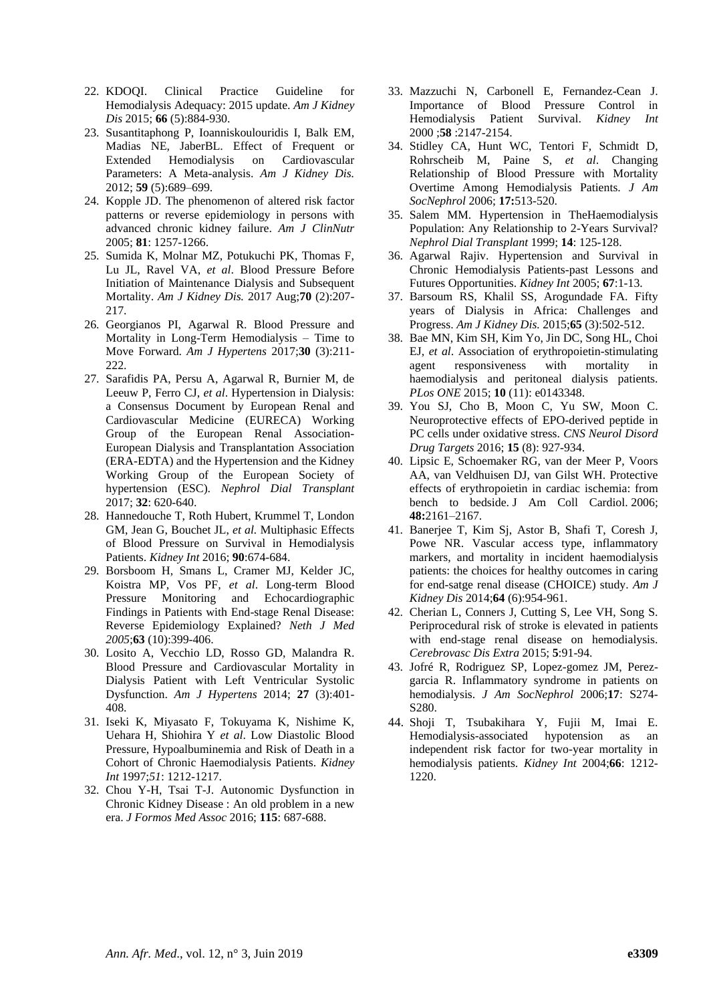- 22. KDOQI. Clinical Practice Guideline for Hemodialysis Adequacy: 2015 update. *Am J Kidney Dis* 2015; **66** (5):884-930.
- 23. Susantitaphong P, Ioanniskoulouridis I, Balk EM, Madias NE, JaberBL. Effect of Frequent or Extended Hemodialysis on Cardiovascular Parameters: A Meta-analysis. *Am J Kidney Dis.* 2012; **59** (5):689–699.
- 24. Kopple JD. The phenomenon of altered risk factor patterns or reverse epidemiology in persons with advanced chronic kidney failure. *Am J ClinNutr* 2005; **81**: 1257-1266.
- 25. Sumida K, Molnar MZ, Potukuchi PK, Thomas F, Lu JL, Ravel VA, *et al*. Blood Pressure Before Initiation of Maintenance Dialysis and Subsequent Mortality. *Am J Kidney Dis.* 2017 Aug;**70** (2):207- 217.
- 26. Georgianos PI, Agarwal R. Blood Pressure and Mortality in Long-Term Hemodialysis – Time to Move Forward. *Am J Hypertens* 2017;**30** (3):211- 222.
- 27. Sarafidis PA, Persu A, Agarwal R, Burnier M, de Leeuw P, Ferro CJ, *et al*. Hypertension in Dialysis: a Consensus Document by European Renal and Cardiovascular Medicine (EURECA) Working Group of the European Renal Association-European Dialysis and Transplantation Association (ERA-EDTA) and the Hypertension and the Kidney Working Group of the European Society of hypertension (ESC). *Nephrol Dial Transplant* 2017; **32**: 620-640.
- 28. Hannedouche T, Roth Hubert, Krummel T, London GM, Jean G, Bouchet JL, *et al.* Multiphasic Effects of Blood Pressure on Survival in Hemodialysis Patients. *Kidney Int* 2016; **90**:674-684.
- 29. Borsboom H, Smans L, Cramer MJ, Kelder JC, Koistra MP, Vos PF*, et al*. Long-term Blood Pressure Monitoring and Echocardiographic Findings in Patients with End-stage Renal Disease: Reverse Epidemiology Explained? *Neth J Med 2005*;**63** (10):399-406.
- 30. Losito A, Vecchio LD, Rosso GD, Malandra R. Blood Pressure and Cardiovascular Mortality in Dialysis Patient with Left Ventricular Systolic Dysfunction. *Am J Hypertens* 2014; **27** (3):401- 408.
- 31. Iseki K, Miyasato F, Tokuyama K, Nishime K, Uehara H, Shiohira Y *et al*. Low Diastolic Blood Pressure, Hypoalbuminemia and Risk of Death in a Cohort of Chronic Haemodialysis Patients. *Kidney Int* 1997;*51*: 1212-1217.
- 32. Chou Y-H, Tsai T-J. Autonomic Dysfunction in Chronic Kidney Disease : An old problem in a new era. *J Formos Med Assoc* 2016; **115**: 687-688.
- 33. Mazzuchi N, Carbonell E, Fernandez-Cean J. Importance of Blood Pressure Control in Hemodialysis Patient Survival. *Kidney Int* 2000 ;**58** :2147-2154.
- 34. Stidley CA, Hunt WC, Tentori F, Schmidt D, Rohrscheib M, Paine S, *et al*. Changing Relationship of Blood Pressure with Mortality Overtime Among Hemodialysis Patients. *J Am SocNephrol* 2006; **17:**513-520.
- 35. Salem MM. Hypertension in TheHaemodialysis Population: Any Relationship to 2-Years Survival? *Nephrol Dial Transplant* 1999; **14**: 125-128.
- 36. Agarwal Rajiv. Hypertension and Survival in Chronic Hemodialysis Patients-past Lessons and Futures Opportunities. *Kidney Int* 2005; **67**:1-13.
- 37. Barsoum RS, Khalil SS, Arogundade FA. Fifty years of Dialysis in Africa: Challenges and Progress. *Am J Kidney Dis.* 2015;**65** (3):502-512.
- 38. Bae MN, Kim SH, Kim Yo, Jin DC, Song HL, Choi EJ, *et al*. Association of erythropoietin-stimulating agent responsiveness with mortality in haemodialysis and peritoneal dialysis patients. *PLos ONE* 2015; **10** (11): e0143348.
- 39. You SJ, Cho B, Moon C, Yu SW, Moon C. Neuroprotective effects of EPO-derived peptide in PC cells under oxidative stress. *CNS Neurol Disord Drug Targets* 2016; **15** (8): 927-934.
- 40. Lipsic E, Schoemaker RG, van der Meer P, Voors AA, van Veldhuisen DJ, van Gilst WH. Protective effects of erythropoietin in cardiac ischemia: from bench to bedside. J Am Coll Cardiol. 2006; **48:**2161–2167.
- 41. Banerjee T, Kim Sj, Astor B, Shafi T, Coresh J, Powe NR. Vascular access type, inflammatory markers, and mortality in incident haemodialysis patients: the choices for healthy outcomes in caring for end-satge renal disease (CHOICE) study. *Am J Kidney Dis* 2014;**64** (6):954-961.
- 42. Cherian L, Conners J, Cutting S, Lee VH, Song S. Periprocedural risk of stroke is elevated in patients with end-stage renal disease on hemodialysis. *Cerebrovasc Dis Extra* 2015; **5**:91-94.
- 43. Jofré R, Rodriguez SP, Lopez-gomez JM, Perezgarcia R. Inflammatory syndrome in patients on hemodialysis. *J Am SocNephrol* 2006;**17**: S274- S280.
- 44. Shoji T, Tsubakihara Y, Fujii M, Imai E. Hemodialysis-associated hypotension as an independent risk factor for two-year mortality in hemodialysis patients. *Kidney Int* 2004;**66**: 1212- 1220.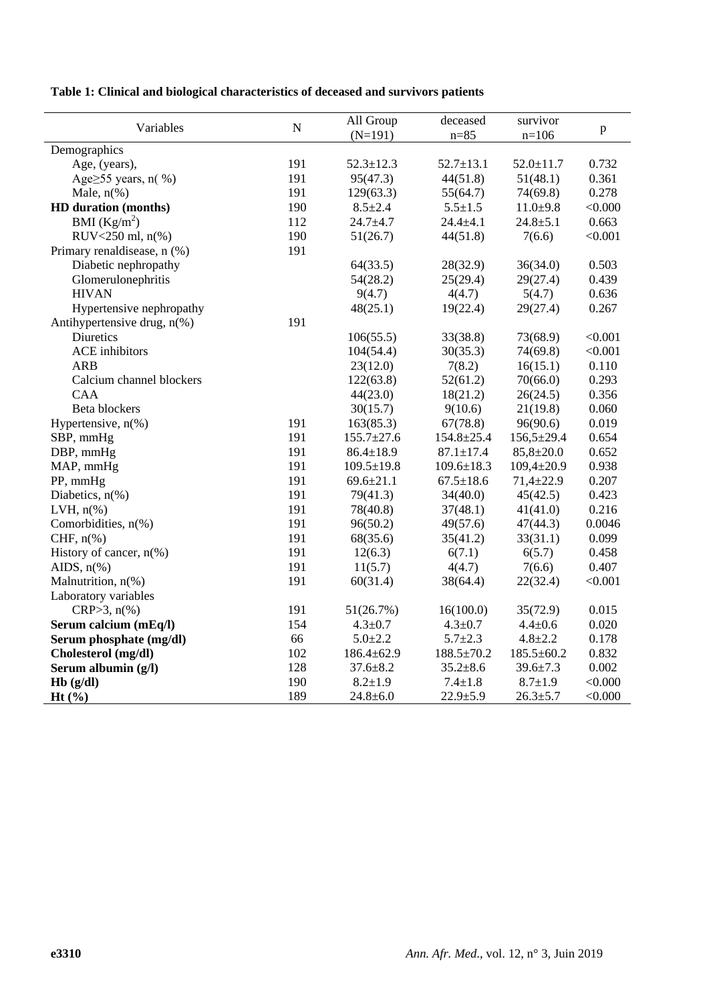**Table 1: Clinical and biological characteristics of deceased and survivors patients**

| Variables                        | ${\bf N}$ | All Group        | deceased         | survivor         | $\, {\bf p}$ |
|----------------------------------|-----------|------------------|------------------|------------------|--------------|
|                                  |           | $(N=191)$        | $n = 85$         | $n=106$          |              |
| Demographics                     |           |                  |                  |                  |              |
| Age, (years),                    | 191       | $52.3 \pm 12.3$  | $52.7 \pm 13.1$  | $52.0 \pm 11.7$  | 0.732        |
| Age $\geq$ 55 years, n(%)        | 191       | 95(47.3)         | 44(51.8)         | 51(48.1)         | 0.361        |
| Male, $n\%$ )                    | 191       | 129(63.3)        | 55(64.7)         | 74(69.8)         | 0.278        |
| HD duration (months)             | 190       | $8.5 \pm 2.4$    | $5.5 \pm 1.5$    | $11.0+9.8$       | < 0.000      |
| BMI $(Kg/m^2)$                   | 112       | $24.7 + 4.7$     | $24.4 + 4.1$     | $24.8 + 5.1$     | 0.663        |
| RUV<250 ml, n(%)                 | 190       | 51(26.7)         | 44(51.8)         | 7(6.6)           | < 0.001      |
| Primary renaldisease, n (%)      | 191       |                  |                  |                  |              |
| Diabetic nephropathy             |           | 64(33.5)         | 28(32.9)         | 36(34.0)         | 0.503        |
| Glomerulonephritis               |           | 54(28.2)         | 25(29.4)         | 29(27.4)         | 0.439        |
| <b>HIVAN</b>                     |           | 9(4.7)           | 4(4.7)           | 5(4.7)           | 0.636        |
| Hypertensive nephropathy         |           | 48(25.1)         | 19(22.4)         | 29(27.4)         | 0.267        |
| Antihypertensive drug, n(%)      | 191       |                  |                  |                  |              |
| Diuretics                        |           | 106(55.5)        | 33(38.8)         | 73(68.9)         | < 0.001      |
| <b>ACE</b> inhibitors            |           | 104(54.4)        | 30(35.3)         | 74(69.8)         | < 0.001      |
| <b>ARB</b>                       |           | 23(12.0)         | 7(8.2)           | 16(15.1)         | 0.110        |
| Calcium channel blockers         |           | 122(63.8)        | 52(61.2)         | 70(66.0)         | 0.293        |
| <b>CAA</b>                       |           | 44(23.0)         | 18(21.2)         | 26(24.5)         | 0.356        |
| Beta blockers                    |           | 30(15.7)         | 9(10.6)          | 21(19.8)         | 0.060        |
| Hypertensive, $n$ <sup>(%)</sup> | 191       | 163(85.3)        | 67(78.8)         | 96(90.6)         | 0.019        |
| SBP, mmHg                        | 191       | $155.7 \pm 27.6$ | $154.8 \pm 25.4$ | $156,5 \pm 29.4$ | 0.654        |
| DBP, mmHg                        | 191       | $86.4 \pm 18.9$  | $87.1 \pm 17.4$  | $85,8{\pm}20.0$  | 0.652        |
| MAP, mmHg                        | 191       | $109.5 \pm 19.8$ | $109.6 \pm 18.3$ | $109,4{\pm}20.9$ | 0.938        |
| PP, mmHg                         | 191       | $69.6 \pm 21.1$  | $67.5 \pm 18.6$  | $71,4 \pm 22.9$  | 0.207        |
| Diabetics, $n\%$ )               | 191       | 79(41.3)         | 34(40.0)         | 45(42.5)         | 0.423        |
| LVH, $n\%$ )                     | 191       | 78(40.8)         | 37(48.1)         | 41(41.0)         | 0.216        |
| Comorbidities, n(%)              | 191       | 96(50.2)         | 49(57.6)         | 47(44.3)         | 0.0046       |
| CHF, $n$ (%)                     | 191       | 68(35.6)         | 35(41.2)         | 33(31.1)         | 0.099        |
| History of cancer, $n$ (%)       | 191       | 12(6.3)          | 6(7.1)           | 6(5.7)           | 0.458        |
| AIDS, $n\frac{6}{6}$             | 191       | 11(5.7)          | 4(4.7)           | 7(6.6)           | 0.407        |
| Malnutrition, n(%)               | 191       | 60(31.4)         | 38(64.4)         | 22(32.4)         | < 0.001      |
| Laboratory variables             |           |                  |                  |                  |              |
| $CRP > 3, n(\%)$                 | 191       | 51(26.7%)        | 16(100.0)        | 35(72.9)         | 0.015        |
| Serum calcium (mEq/l)            | 154       | $4.3 \pm 0.7$    | $4.3 \pm 0.7$    | $4.4 \pm 0.6$    | 0.020        |
| Serum phosphate (mg/dl)          | 66        | $5.0 + 2.2$      | $5.7 \pm 2.3$    | $4.8 + 2.2$      | 0.178        |
| Cholesterol (mg/dl)              | 102       | $186.4 \pm 62.9$ | $188.5 \pm 70.2$ | $185.5 \pm 60.2$ | 0.832        |
| Serum albumin (g/l)              | 128       | $37.6 \pm 8.2$   | $35.2 \pm 8.6$   | $39.6 \pm 7.3$   | 0.002        |
| $Hb$ (g/dl)                      | 190       | $8.2 \pm 1.9$    | $7.4 \pm 1.8$    | $8.7 \pm 1.9$    | < 0.000      |
| $Ht$ $(\frac{9}{6})$             | 189       | $24.8 \pm 6.0$   | $22.9 + 5.9$     | $26.3 \pm 5.7$   | < 0.000      |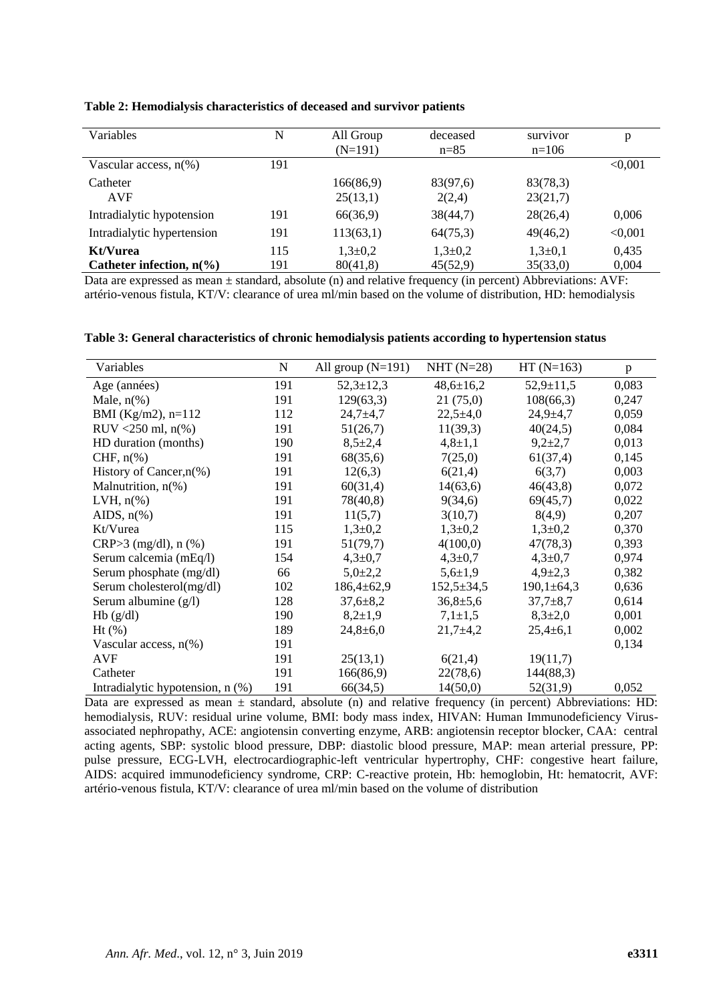| Variables                                      | N          | All Group<br>$(N=191)$    | deceased<br>$n = 85$      | survivor<br>$n=106$   | p              |
|------------------------------------------------|------------|---------------------------|---------------------------|-----------------------|----------------|
| Vascular access, $n(\%)$                       | 191        |                           |                           |                       | < 0.001        |
| Catheter<br><b>AVF</b>                         |            | 166(86,9)<br>25(13,1)     | 83(97,6)<br>2(2,4)        | 83(78,3)<br>23(21,7)  |                |
| Intradialytic hypotension                      | 191        | 66(36,9)                  | 38(44,7)                  | 28(26,4)              | 0,006          |
| Intradialytic hypertension                     | 191        | 113(63,1)                 | 64(75,3)                  | 49(46,2)              | < 0.001        |
| Kt/Vurea<br>Catheter infection, $n\frac{6}{6}$ | 115<br>191 | $1,3{\pm}0,2$<br>80(41,8) | $1,3{\pm}0,2$<br>45(52,9) | $1,3+0,1$<br>35(33,0) | 0,435<br>0,004 |

**Table 2: Hemodialysis characteristics of deceased and survivor patients**

Data are expressed as mean  $\pm$  standard, absolute (n) and relative frequency (in percent) Abbreviations: AVF: artério-venous fistula, KT/V: clearance of urea ml/min based on the volume of distribution, HD: hemodialysis

|  |  |  |  |  | Table 3: General characteristics of chronic hemodialysis patients according to hypertension status |  |
|--|--|--|--|--|----------------------------------------------------------------------------------------------------|--|
|  |  |  |  |  |                                                                                                    |  |

| Variables                        | N   | All group $(N=191)$ | NHT $(N=28)$     | $HT(N=163)$      | p     |
|----------------------------------|-----|---------------------|------------------|------------------|-------|
| Age (années)                     | 191 | $52,3 \pm 12,3$     | $48,6 \pm 16,2$  | $52,9 \pm 11,5$  | 0,083 |
| Male, $n\%$ )                    | 191 | 129(63,3)           | 21(75,0)         | 108(66,3)        | 0,247 |
| BMI (Kg/m2), $n=112$             | 112 | $24,7+4,7$          | $22,5+4,0$       | $24,9+4,7$       | 0,059 |
| RUV <250 ml, $n$ (%)             | 191 | 51(26,7)            | 11(39,3)         | 40(24,5)         | 0,084 |
| HD duration (months)             | 190 | $8,5{\pm}2,4$       | $4,8 \pm 1,1$    | $9,2{\pm}2,7$    | 0,013 |
| CHF, $n\%$ )                     | 191 | 68(35,6)            | 7(25,0)          | 61(37,4)         | 0,145 |
| History of Cancer, $n$ (%)       | 191 | 12(6,3)             | 6(21,4)          | 6(3,7)           | 0,003 |
| Malnutrition, $n$ <sup>(%)</sup> | 191 | 60(31,4)            | 14(63,6)         | 46(43,8)         | 0,072 |
| LVH, $n\%$ )                     | 191 | 78(40,8)            | 9(34,6)          | 69(45,7)         | 0,022 |
| AIDS, $n\frac{6}{6}$             | 191 | 11(5,7)             | 3(10,7)          | 8(4,9)           | 0,207 |
| Kt/Vurea                         | 115 | $1,3+0,2$           | $1,3\pm0,2$      | $1,3\pm0,2$      | 0,370 |
| $CRP > 3$ (mg/dl), n $(\%)$      | 191 | 51(79,7)            | 4(100,0)         | 47(78,3)         | 0,393 |
| Serum calcemia (mEq/l)           | 154 | $4,3 \pm 0.7$       | $4,3 \pm 0,7$    | $4,3 \pm 0.7$    | 0,974 |
| Serum phosphate (mg/dl)          | 66  | $5,0{\pm}2,2$       | $5,6{\pm}1,9$    | $4,9{\pm}2,3$    | 0,382 |
| Serum cholesterol(mg/dl)         | 102 | $186,4 \pm 62,9$    | $152,5 \pm 34,5$ | $190,1 \pm 64,3$ | 0,636 |
| Serum albumine (g/l)             | 128 | $37,6 \pm 8,2$      | $36,8{\pm}5,6$   | $37,7 \pm 8,7$   | 0,614 |
| Hb(g/dl)                         | 190 | $8,2{\pm}1,9$       | $7,1{\pm}1,5$    | $8,3{\pm}2,0$    | 0,001 |
| $Ht$ $(\%)$                      | 189 | $24,8 \pm 6,0$      | $21,7+4,2$       | $25,4 \pm 6,1$   | 0,002 |
| Vascular access, $n(\%)$         | 191 |                     |                  |                  | 0,134 |
| <b>AVF</b>                       | 191 | 25(13,1)            | 6(21,4)          | 19(11,7)         |       |
| Catheter                         | 191 | 166(86,9)           | 22(78,6)         | 144(88,3)        |       |
| Intradialytic hypotension, n (%) | 191 | 66(34,5)            | 14(50,0)         | 52(31,9)         | 0,052 |

Data are expressed as mean  $\pm$  standard, absolute (n) and relative frequency (in percent) Abbreviations: HD: hemodialysis, RUV: residual urine volume, BMI: body mass index, HIVAN: Human Immunodeficiency Virusassociated nephropathy, ACE: angiotensin converting enzyme, ARB: angiotensin receptor blocker, CAA: central acting agents, SBP: systolic blood pressure, DBP: diastolic blood pressure, MAP: mean arterial pressure, PP: pulse pressure, ECG-LVH, electrocardiographic-left ventricular hypertrophy, CHF: congestive heart failure, AIDS: acquired immunodeficiency syndrome, CRP: C-reactive protein, Hb: hemoglobin, Ht: hematocrit, AVF: artério-venous fistula, KT/V: clearance of urea ml/min based on the volume of distribution